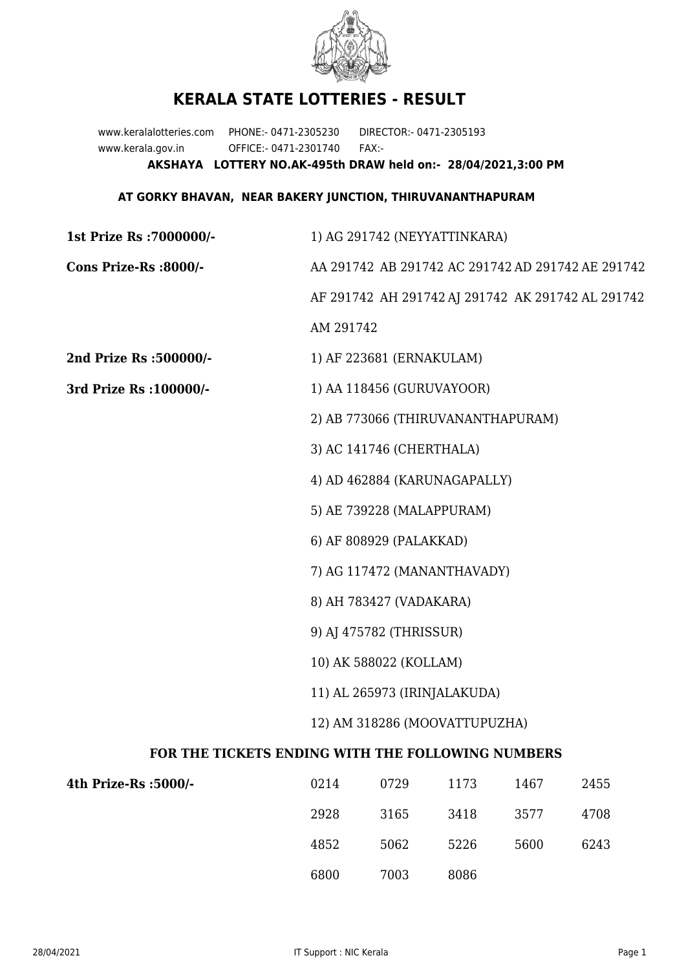

## **KERALA STATE LOTTERIES - RESULT**

www.keralalotteries.com PHONE:- 0471-2305230 DIRECTOR:- 0471-2305193 www.kerala.gov.in OFFICE:- 0471-2301740 FAX:- **AKSHAYA LOTTERY NO.AK-495th DRAW held on:- 28/04/2021,3:00 PM**

## **AT GORKY BHAVAN, NEAR BAKERY JUNCTION, THIRUVANANTHAPURAM**

| 1st Prize Rs : 7000000/-                          | 1) AG 291742 (NEYYATTINKARA)                                                                                                                |                          |      |      |                                                   |  |  |
|---------------------------------------------------|---------------------------------------------------------------------------------------------------------------------------------------------|--------------------------|------|------|---------------------------------------------------|--|--|
| Cons Prize-Rs :8000/-                             | AA 291742 AB 291742 AC 291742 AD 291742 AE 291742                                                                                           |                          |      |      |                                                   |  |  |
|                                                   |                                                                                                                                             |                          |      |      | AF 291742 AH 291742 AJ 291742 AK 291742 AL 291742 |  |  |
|                                                   | AM 291742                                                                                                                                   |                          |      |      |                                                   |  |  |
| 2nd Prize Rs :500000/-                            |                                                                                                                                             | 1) AF 223681 (ERNAKULAM) |      |      |                                                   |  |  |
| 3rd Prize Rs : 100000/-                           | 1) AA 118456 (GURUVAYOOR)                                                                                                                   |                          |      |      |                                                   |  |  |
|                                                   | 2) AB 773066 (THIRUVANANTHAPURAM)                                                                                                           |                          |      |      |                                                   |  |  |
|                                                   | 3) AC 141746 (CHERTHALA)                                                                                                                    |                          |      |      |                                                   |  |  |
|                                                   | 4) AD 462884 (KARUNAGAPALLY)                                                                                                                |                          |      |      |                                                   |  |  |
|                                                   | 5) AE 739228 (MALAPPURAM)                                                                                                                   |                          |      |      |                                                   |  |  |
|                                                   | 6) AF 808929 (PALAKKAD)                                                                                                                     |                          |      |      |                                                   |  |  |
|                                                   | 7) AG 117472 (MANANTHAVADY)<br>8) AH 783427 (VADAKARA)<br>9) AJ 475782 (THRISSUR)<br>10) AK 588022 (KOLLAM)<br>11) AL 265973 (IRINJALAKUDA) |                          |      |      |                                                   |  |  |
|                                                   |                                                                                                                                             |                          |      |      |                                                   |  |  |
|                                                   |                                                                                                                                             |                          |      |      |                                                   |  |  |
|                                                   |                                                                                                                                             |                          |      |      |                                                   |  |  |
|                                                   |                                                                                                                                             |                          |      |      |                                                   |  |  |
|                                                   | 12) AM 318286 (MOOVATTUPUZHA)                                                                                                               |                          |      |      |                                                   |  |  |
| FOR THE TICKETS ENDING WITH THE FOLLOWING NUMBERS |                                                                                                                                             |                          |      |      |                                                   |  |  |
| 4th Prize-Rs : 5000/-                             | 0214                                                                                                                                        | 0729                     | 1173 | 1467 | 2455                                              |  |  |
|                                                   | 2928                                                                                                                                        | 3165                     | 3418 | 3577 | 4708                                              |  |  |

6800 7003 8086

4852 5062 5226 5600 6243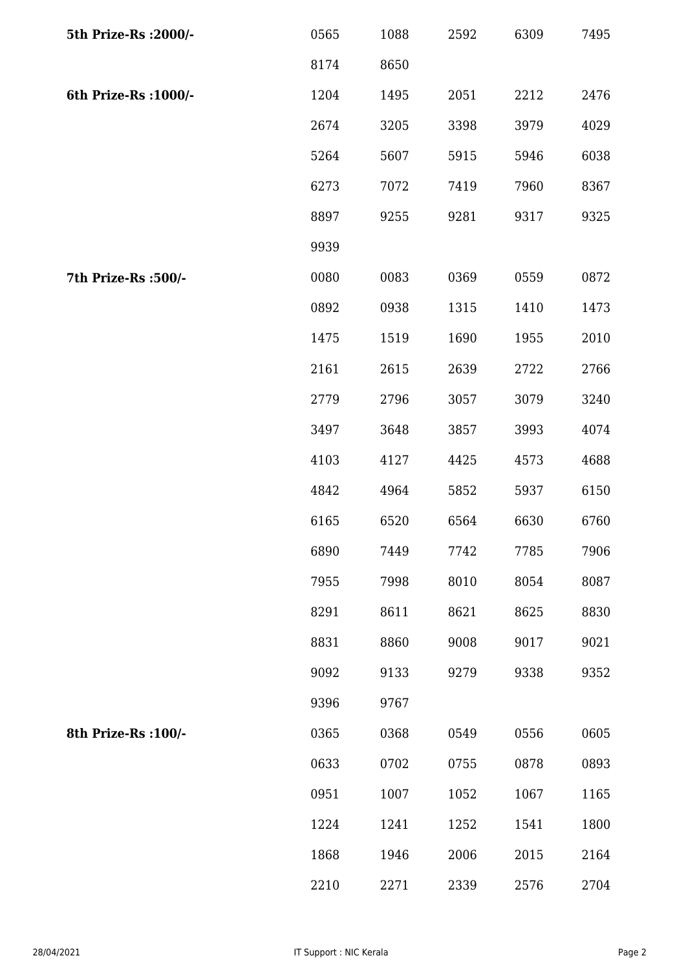| 5th Prize-Rs : 2000/- | 0565 | 1088 | 2592 | 6309 | 7495 |
|-----------------------|------|------|------|------|------|
|                       | 8174 | 8650 |      |      |      |
| 6th Prize-Rs : 1000/- | 1204 | 1495 | 2051 | 2212 | 2476 |
|                       | 2674 | 3205 | 3398 | 3979 | 4029 |
|                       | 5264 | 5607 | 5915 | 5946 | 6038 |
|                       | 6273 | 7072 | 7419 | 7960 | 8367 |
|                       | 8897 | 9255 | 9281 | 9317 | 9325 |
|                       | 9939 |      |      |      |      |
| 7th Prize-Rs : 500/-  | 0080 | 0083 | 0369 | 0559 | 0872 |
|                       | 0892 | 0938 | 1315 | 1410 | 1473 |
|                       | 1475 | 1519 | 1690 | 1955 | 2010 |
|                       | 2161 | 2615 | 2639 | 2722 | 2766 |
|                       | 2779 | 2796 | 3057 | 3079 | 3240 |
|                       | 3497 | 3648 | 3857 | 3993 | 4074 |
|                       | 4103 | 4127 | 4425 | 4573 | 4688 |
|                       | 4842 | 4964 | 5852 | 5937 | 6150 |
|                       | 6165 | 6520 | 6564 | 6630 | 6760 |
|                       | 6890 | 7449 | 7742 | 7785 | 7906 |
|                       | 7955 | 7998 | 8010 | 8054 | 8087 |
|                       | 8291 | 8611 | 8621 | 8625 | 8830 |
|                       | 8831 | 8860 | 9008 | 9017 | 9021 |
|                       | 9092 | 9133 | 9279 | 9338 | 9352 |
|                       | 9396 | 9767 |      |      |      |
| 8th Prize-Rs : 100/-  | 0365 | 0368 | 0549 | 0556 | 0605 |
|                       | 0633 | 0702 | 0755 | 0878 | 0893 |
|                       | 0951 | 1007 | 1052 | 1067 | 1165 |
|                       | 1224 | 1241 | 1252 | 1541 | 1800 |
|                       | 1868 | 1946 | 2006 | 2015 | 2164 |
|                       | 2210 | 2271 | 2339 | 2576 | 2704 |